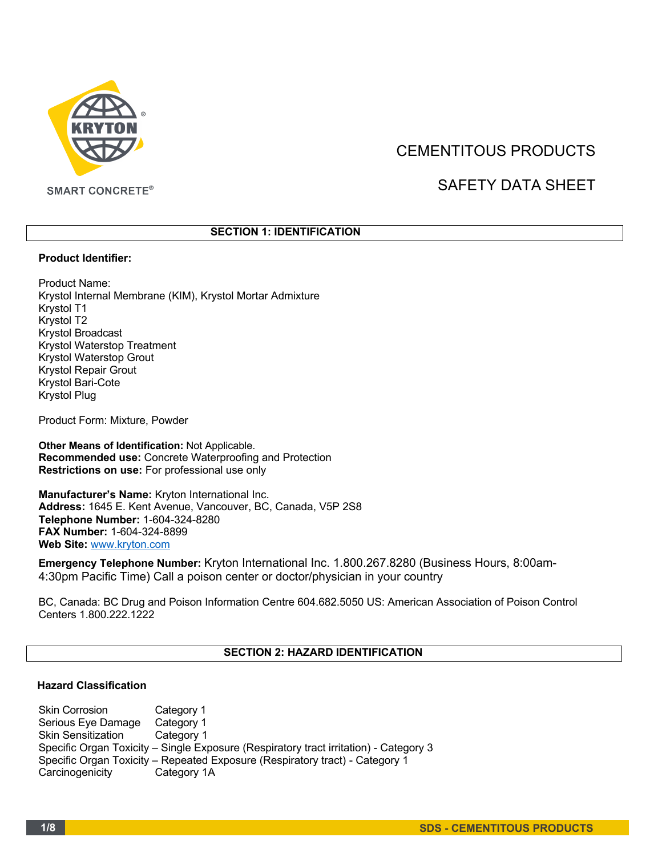

# CEMENTITOUS PRODUCTS

# SAFETY DATA SHEET

## **SECTION 1: IDENTIFICATION**

#### **Product Identifier:**

Product Name: Krystol Internal Membrane (KIM), Krystol Mortar Admixture Krystol T1 Krystol T2 Krystol Broadcast Krystol Waterstop Treatment Krystol Waterstop Grout Krystol Repair Grout Krystol Bari-Cote Krystol Plug

Product Form: Mixture, Powder

**Other Means of Identification:** Not Applicable. **Recommended use:** Concrete Waterproofing and Protection **Restrictions on use:** For professional use only

**Manufacturer's Name:** Kryton International Inc. **Address:** 1645 E. Kent Avenue, Vancouver, BC, Canada, V5P 2S8 **Telephone Number:** 1-604-324-8280 **FAX Number:** 1-604-324-8899 **Web Site:** www.kryton.com

**Emergency Telephone Number:** Kryton International Inc. 1.800.267.8280 (Business Hours, 8:00am-4:30pm Pacific Time) Call a poison center or doctor/physician in your country

BC, Canada: BC Drug and Poison Information Centre 604.682.5050 US: American Association of Poison Control Centers 1.800.222.1222

# **SECTION 2: HAZARD IDENTIFICATION**

## **Hazard Classification**

Skin Corrosion Category 1<br>Serious Eye Damage Category 1 Serious Eye Damage Skin Sensitization Category 1 Specific Organ Toxicity – Single Exposure (Respiratory tract irritation) - Category 3 Specific Organ Toxicity – Repeated Exposure (Respiratory tract) - Category 1 Carcinogenicity Category 1A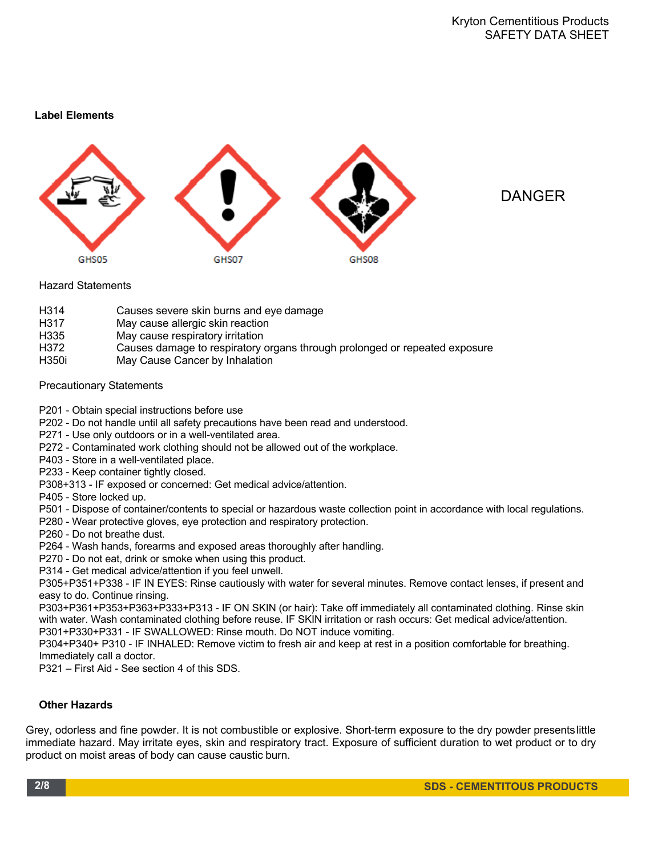# **Label Elements**





Hazard Statements

- H314 Causes severe skin burns and eye damage
- H317 May cause allergic skin reaction<br>H335 May cause respiratory irritation
- May cause respiratory irritation
- H372 Causes damage to respiratory organs through prolonged or repeated exposure
- H350i May Cause Cancer by Inhalation

## Precautionary Statements

- P201 Obtain special instructions before use
- P202 Do not handle until all safety precautions have been read and understood.
- P271 Use only outdoors or in a well-ventilated area.
- P272 Contaminated work clothing should not be allowed out of the workplace.
- P403 Store in a well-ventilated place.
- P233 Keep container tightly closed.
- P308+313 IF exposed or concerned: Get medical advice/attention.
- P405 Store locked up.
- P501 Dispose of container/contents to special or hazardous waste collection point in accordance with local regulations.
- P280 Wear protective gloves, eye protection and respiratory protection.
- P260 Do not breathe dust.
- P264 Wash hands, forearms and exposed areas thoroughly after handling.
- P270 Do not eat, drink or smoke when using this product.
- P314 Get medical advice/attention if you feel unwell.

P305+P351+P338 - IF IN EYES: Rinse cautiously with water for several minutes. Remove contact lenses, if present and easy to do. Continue rinsing.

P303+P361+P353+P363+P333+P313 - IF ON SKIN (or hair): Take off immediately all contaminated clothing. Rinse skin with water. Wash contaminated clothing before reuse. IF SKIN irritation or rash occurs: Get medical advice/attention. P301+P330+P331 - IF SWALLOWED: Rinse mouth. Do NOT induce vomiting.

P304+P340+ P310 - IF INHALED: Remove victim to fresh air and keep at rest in a position comfortable for breathing. Immediately call a doctor.

P321 – First Aid - See section 4 of this SDS.

## **Other Hazards**

Grey, odorless and fine powder. It is not combustible or explosive. Short-term exposure to the dry powder presentslittle immediate hazard. May irritate eyes, skin and respiratory tract. Exposure of sufficient duration to wet product or to dry product on moist areas of body can cause caustic burn.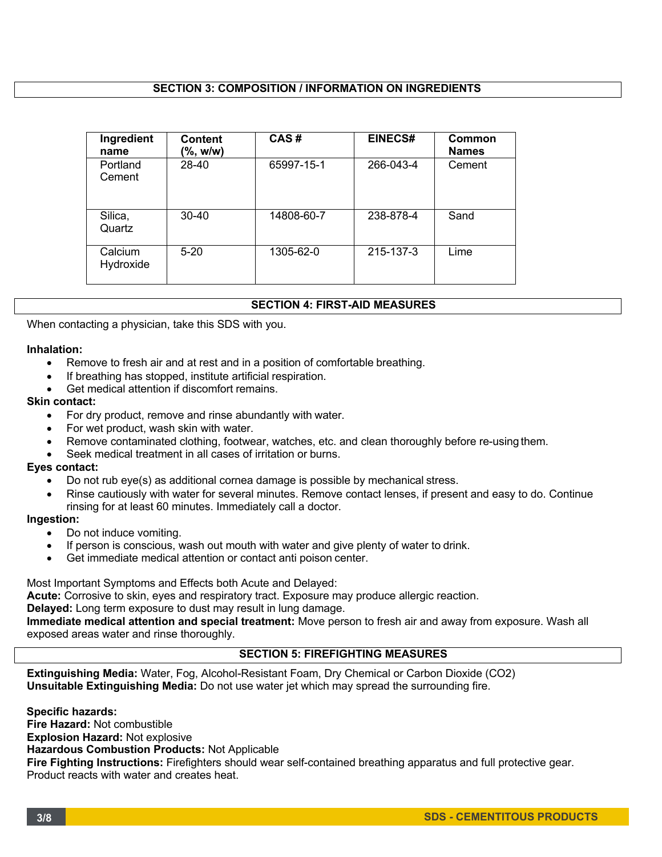## **SECTION 3: COMPOSITION / INFORMATION ON INGREDIENTS**

| Ingredient<br>name   | Content<br>(%, w/w) | CAS#       | <b>EINECS#</b> | Common<br><b>Names</b> |
|----------------------|---------------------|------------|----------------|------------------------|
| Portland<br>Cement   | 28-40               | 65997-15-1 | 266-043-4      | Cement                 |
| Silica,<br>Quartz    | $30 - 40$           | 14808-60-7 | 238-878-4      | Sand                   |
| Calcium<br>Hydroxide | $5 - 20$            | 1305-62-0  | 215-137-3      | Lime                   |

## **SECTION 4: FIRST-AID MEASURES**

When contacting a physician, take this SDS with you.

#### **Inhalation:**

- Remove to fresh air and at rest and in a position of comfortable breathing.
- If breathing has stopped, institute artificial respiration.
- Get medical attention if discomfort remains.

# **Skin contact:**

- For dry product, remove and rinse abundantly with water.
- For wet product, wash skin with water.
- Remove contaminated clothing, footwear, watches, etc. and clean thoroughly before re-using them.
- Seek medical treatment in all cases of irritation or burns.

# **Eyes contact:**

- Do not rub eye(s) as additional cornea damage is possible by mechanical stress.
- Rinse cautiously with water for several minutes. Remove contact lenses, if present and easy to do. Continue rinsing for at least 60 minutes. Immediately call a doctor.

#### **Ingestion:**

- Do not induce vomiting.
- If person is conscious, wash out mouth with water and give plenty of water to drink.
- Get immediate medical attention or contact anti poison center.

Most Important Symptoms and Effects both Acute and Delayed:

**Acute:** Corrosive to skin, eyes and respiratory tract. Exposure may produce allergic reaction.

#### **Delayed:** Long term exposure to dust may result in lung damage.

**Immediate medical attention and special treatment:** Move person to fresh air and away from exposure. Wash all exposed areas water and rinse thoroughly.

## **SECTION 5: FIREFIGHTING MEASURES**

**Extinguishing Media:** Water, Fog, Alcohol-Resistant Foam, Dry Chemical or Carbon Dioxide (CO2) **Unsuitable Extinguishing Media:** Do not use water jet which may spread the surrounding fire.

**Specific hazards: Fire Hazard:** Not combustible **Explosion Hazard:** Not explosive **Hazardous Combustion Products:** Not Applicable **Fire Fighting Instructions:** Firefighters should wear self-contained breathing apparatus and full protective gear. Product reacts with water and creates heat.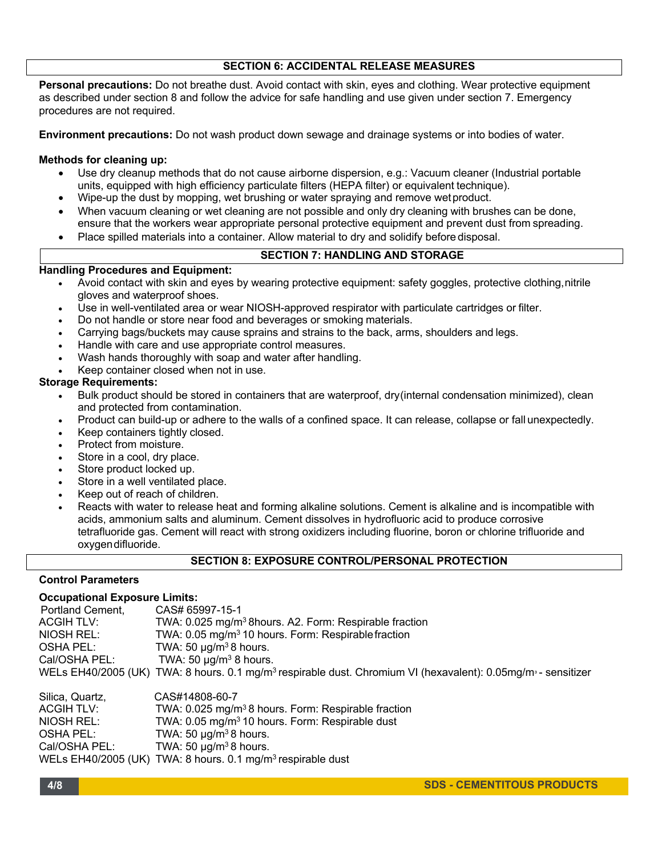## **SECTION 6: ACCIDENTAL RELEASE MEASURES**

**Personal precautions:** Do not breathe dust. Avoid contact with skin, eyes and clothing. Wear protective equipment as described under section 8 and follow the advice for safe handling and use given under section 7. Emergency procedures are not required.

**Environment precautions:** Do not wash product down sewage and drainage systems or into bodies of water.

## **Methods for cleaning up:**

- Use dry cleanup methods that do not cause airborne dispersion, e.g.: Vacuum cleaner (Industrial portable units, equipped with high efficiency particulate filters (HEPA filter) or equivalent technique).
- Wipe-up the dust by mopping, wet brushing or water spraying and remove wetproduct.
- When vacuum cleaning or wet cleaning are not possible and only dry cleaning with brushes can be done, ensure that the workers wear appropriate personal protective equipment and prevent dust from spreading.
- Place spilled materials into a container. Allow material to dry and solidify before disposal.

## **SECTION 7: HANDLING AND STORAGE**

## **Handling Procedures and Equipment:**

- Avoid contact with skin and eyes by wearing protective equipment: safety goggles, protective clothing,nitrile gloves and waterproof shoes.
- Use in well-ventilated area or wear NIOSH-approved respirator with particulate cartridges or filter.
- Do not handle or store near food and beverages or smoking materials.
- Carrying bags/buckets may cause sprains and strains to the back, arms, shoulders and legs.
- Handle with care and use appropriate control measures.
- Wash hands thoroughly with soap and water after handling.
- Keep container closed when not in use.

## **Storage Requirements:**

- Bulk product should be stored in containers that are waterproof, dry(internal condensation minimized), clean and protected from contamination.
- Product can build-up or adhere to the walls of a confined space. It can release, collapse or fall unexpectedly.
- Keep containers tightly closed.
- Protect from moisture.
- Store in a cool, dry place.
- Store product locked up.
- Store in a well ventilated place.
- Keep out of reach of children.
- Reacts with water to release heat and forming alkaline solutions. Cement is alkaline and is incompatible with acids, ammonium salts and aluminum. Cement dissolves in hydrofluoric acid to produce corrosive tetrafluoride gas. Cement will react with strong oxidizers including fluorine, boron or chlorine trifluoride and oxygendifluoride.

#### **SECTION 8: EXPOSURE CONTROL/PERSONAL PROTECTION**

#### **Control Parameters**

#### **Occupational Exposure Limits:**

| Portland Cement, | CAS# 65997-15-1                                                                                                                       |
|------------------|---------------------------------------------------------------------------------------------------------------------------------------|
| ACGIH TLV:       | TWA: 0.025 mg/m <sup>3</sup> 8hours. A2. Form: Respirable fraction                                                                    |
| NIOSH REL:       | TWA: 0.05 mg/m <sup>3</sup> 10 hours. Form: Respirable fraction                                                                       |
| OSHA PEL:        | TWA: 50 $\mu$ g/m <sup>3</sup> 8 hours.                                                                                               |
| Cal/OSHA PEL:    | TWA: 50 $\mu$ g/m <sup>3</sup> 8 hours.                                                                                               |
|                  | WELs EH40/2005 (UK) TWA: 8 hours. 0.1 mg/m <sup>3</sup> respirable dust. Chromium VI (hexavalent): 0.05mg/m <sup>3</sup> - sensitizer |

| CAS#14808-60-7                                                          |
|-------------------------------------------------------------------------|
| TWA: 0.025 mg/m <sup>3</sup> 8 hours. Form: Respirable fraction         |
| TWA: 0.05 mg/m <sup>3</sup> 10 hours. Form: Respirable dust             |
| TWA: 50 $\mu$ g/m <sup>3</sup> 8 hours.                                 |
| TWA: 50 $\mu$ g/m <sup>3</sup> 8 hours.                                 |
| WELs EH40/2005 (UK) TWA: 8 hours. 0.1 mg/m <sup>3</sup> respirable dust |
|                                                                         |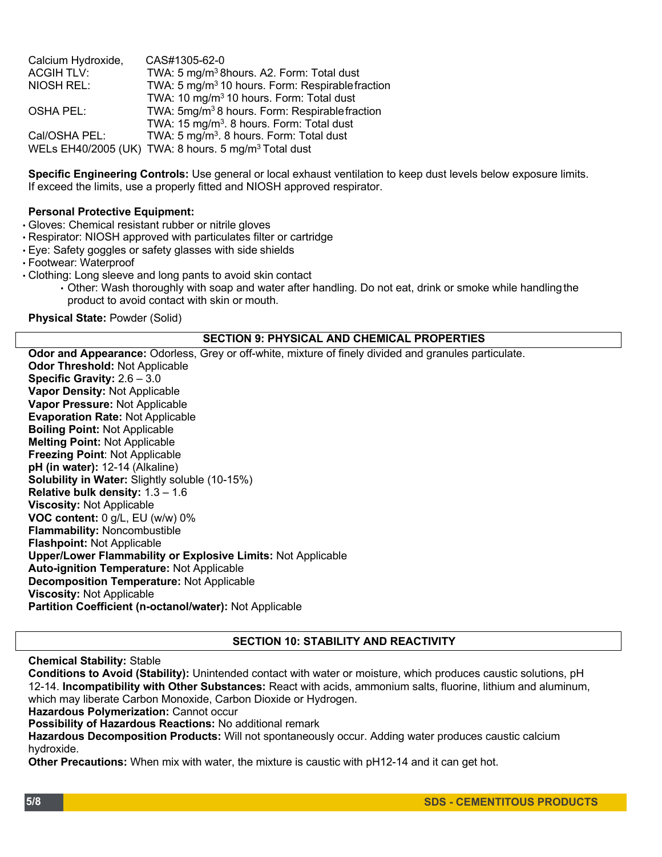| Calcium Hydroxide, | CAS#1305-62-0                                                    |
|--------------------|------------------------------------------------------------------|
| <b>ACGIHTLV:</b>   | TWA: 5 mg/m <sup>3</sup> 8hours. A2. Form: Total dust            |
| NIOSH REL:         | TWA: 5 mg/m <sup>3</sup> 10 hours. Form: Respirable fraction     |
|                    | TWA: 10 mg/m <sup>3</sup> 10 hours. Form: Total dust             |
| OSHA PEL:          | TWA: 5mg/m <sup>3</sup> 8 hours. Form: Respirable fraction       |
|                    | TWA: 15 mg/m <sup>3</sup> . 8 hours. Form: Total dust            |
| Cal/OSHA PEL:      | TWA: 5 mg/m <sup>3</sup> . 8 hours. Form: Total dust             |
|                    | WELs EH40/2005 (UK) TWA: 8 hours. 5 mg/m <sup>3</sup> Total dust |

**Specific Engineering Controls:** Use general or local exhaust ventilation to keep dust levels below exposure limits. If exceed the limits, use a properly fitted and NIOSH approved respirator.

## **Personal Protective Equipment:**

- Gloves: Chemical resistant rubber or nitrile gloves
- Respirator: NIOSH approved with particulates filter or cartridge
- Eye: Safety goggles or safety glasses with side shields
- Footwear: Waterproof
- Clothing: Long sleeve and long pants to avoid skin contact
	- Other: Wash thoroughly with soap and water after handling. Do not eat, drink or smoke while handlingthe product to avoid contact with skin or mouth.

**Physical State:** Powder (Solid)

#### **SECTION 9: PHYSICAL AND CHEMICAL PROPERTIES**

**Odor and Appearance:** Odorless, Grey or off-white, mixture of finely divided and granules particulate. **Odor Threshold:** Not Applicable **Specific Gravity:** 2.6 – 3.0 **Vapor Density:** Not Applicable **Vapor Pressure:** Not Applicable **Evaporation Rate:** Not Applicable **Boiling Point:** Not Applicable **Melting Point:** Not Applicable **Freezing Point**: Not Applicable **pH (in water):** 12-14 (Alkaline) **Solubility in Water:** Slightly soluble (10-15%) **Relative bulk density:** 1.3 – 1.6 **Viscosity:** Not Applicable **VOC content:** 0 g/L, EU (w/w) 0% **Flammability:** Noncombustible **Flashpoint:** Not Applicable **Upper/Lower Flammability or Explosive Limits:** Not Applicable **Auto-ignition Temperature:** Not Applicable **Decomposition Temperature:** Not Applicable **Viscosity:** Not Applicable **Partition Coefficient (n-octanol/water):** Not Applicable

#### **SECTION 10: STABILITY AND REACTIVITY**

## **Chemical Stability:** Stable

**Conditions to Avoid (Stability):** Unintended contact with water or moisture, which produces caustic solutions, pH 12-14. **Incompatibility with Other Substances:** React with acids, ammonium salts, fluorine, lithium and aluminum, which may liberate Carbon Monoxide, Carbon Dioxide or Hydrogen.

**Hazardous Polymerization:** Cannot occur

**Possibility of Hazardous Reactions:** No additional remark

**Hazardous Decomposition Products:** Will not spontaneously occur. Adding water produces caustic calcium hydroxide.

**Other Precautions:** When mix with water, the mixture is caustic with pH12-14 and it can get hot.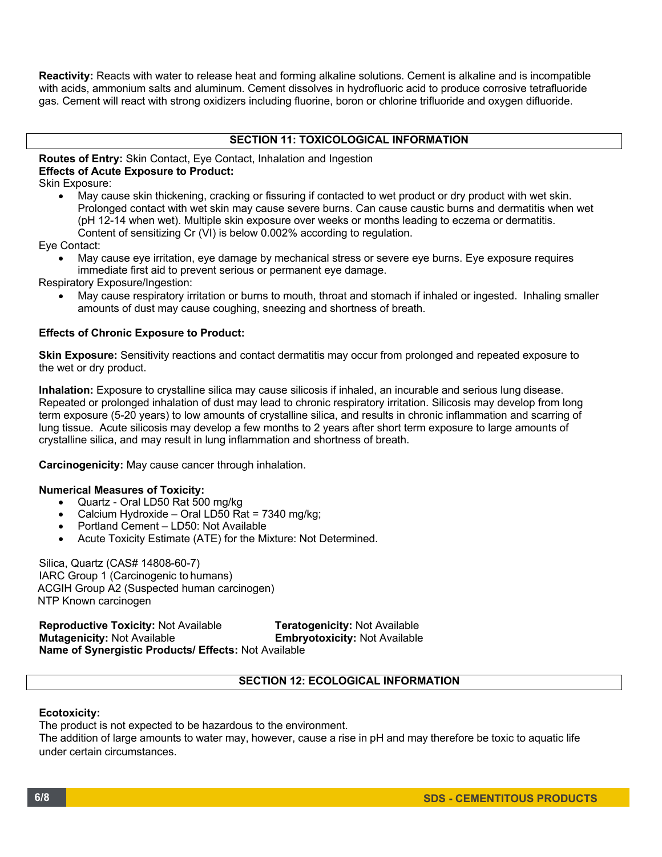**Reactivity:** Reacts with water to release heat and forming alkaline solutions. Cement is alkaline and is incompatible with acids, ammonium salts and aluminum. Cement dissolves in hydrofluoric acid to produce corrosive tetrafluoride gas. Cement will react with strong oxidizers including fluorine, boron or chlorine trifluoride and oxygen difluoride.

# **SECTION 11: TOXICOLOGICAL INFORMATION**

## **Routes of Entry:** Skin Contact, Eye Contact, Inhalation and Ingestion **Effects of Acute Exposure to Product:**

Skin Exposure:

• May cause skin thickening, cracking or fissuring if contacted to wet product or dry product with wet skin. Prolonged contact with wet skin may cause severe burns. Can cause caustic burns and dermatitis when wet (pH 12-14 when wet). Multiple skin exposure over weeks or months leading to eczema or dermatitis. Content of sensitizing Cr (VI) is below 0.002% according to regulation.

Eye Contact:

• May cause eye irritation, eye damage by mechanical stress or severe eye burns. Eye exposure requires immediate first aid to prevent serious or permanent eye damage.

Respiratory Exposure/Ingestion:

• May cause respiratory irritation or burns to mouth, throat and stomach if inhaled or ingested. Inhaling smaller amounts of dust may cause coughing, sneezing and shortness of breath.

#### **Effects of Chronic Exposure to Product:**

**Skin Exposure:** Sensitivity reactions and contact dermatitis may occur from prolonged and repeated exposure to the wet or dry product.

**Inhalation:** Exposure to crystalline silica may cause silicosis if inhaled, an incurable and serious lung disease. Repeated or prolonged inhalation of dust may lead to chronic respiratory irritation. Silicosis may develop from long term exposure (5-20 years) to low amounts of crystalline silica, and results in chronic inflammation and scarring of lung tissue. Acute silicosis may develop a few months to 2 years after short term exposure to large amounts of crystalline silica, and may result in lung inflammation and shortness of breath.

**Carcinogenicity:** May cause cancer through inhalation.

#### **Numerical Measures of Toxicity:**

- Quartz Oral LD50 Rat 500 mg/kg
- Calcium Hydroxide Oral LD50 Rat = 7340 mg/kg;
- Portland Cement LD50: Not Available
- Acute Toxicity Estimate (ATE) for the Mixture: Not Determined.

Silica, Quartz (CAS# 14808-60-7) IARC Group 1 (Carcinogenic to humans) ACGIH Group A2 (Suspected human carcinogen) NTP Known carcinogen

**Reproductive Toxicity:** Not Available **Teratogenicity:** Not Available **Embryotoxicity: Not Available Name of Synergistic Products/ Effects:** Not Available

# **SECTION 12: ECOLOGICAL INFORMATION**

#### **Ecotoxicity:**

The product is not expected to be hazardous to the environment.

The addition of large amounts to water may, however, cause a rise in pH and may therefore be toxic to aquatic life under certain circumstances.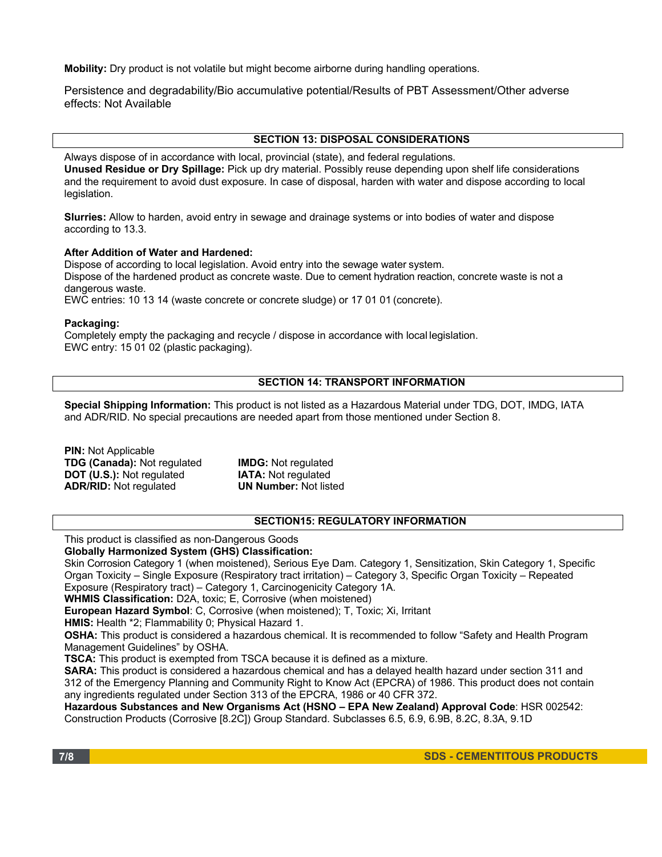**Mobility:** Dry product is not volatile but might become airborne during handling operations.

Persistence and degradability/Bio accumulative potential/Results of PBT Assessment/Other adverse effects: Not Available

#### **SECTION 13: DISPOSAL CONSIDERATIONS**

Always dispose of in accordance with local, provincial (state), and federal regulations. **Unused Residue or Dry Spillage:** Pick up dry material. Possibly reuse depending upon shelf life considerations and the requirement to avoid dust exposure. In case of disposal, harden with water and dispose according to local legislation.

**Slurries:** Allow to harden, avoid entry in sewage and drainage systems or into bodies of water and dispose according to 13.3.

#### **After Addition of Water and Hardened:**

Dispose of according to local legislation. Avoid entry into the sewage water system. Dispose of the hardened product as concrete waste. Due to cement hydration reaction, concrete waste is not a dangerous waste.

EWC entries: 10 13 14 (waste concrete or concrete sludge) or 17 01 01 (concrete).

#### **Packaging:**

Completely empty the packaging and recycle / dispose in accordance with local legislation. EWC entry: 15 01 02 (plastic packaging).

# **SECTION 14: TRANSPORT INFORMATION**

**Special Shipping Information:** This product is not listed as a Hazardous Material under TDG, DOT, IMDG, IATA and ADR/RID. No special precautions are needed apart from those mentioned under Section 8.

| <b>PIN:</b> Not Applicable         |                              |
|------------------------------------|------------------------------|
| <b>TDG (Canada): Not regulated</b> | <b>IMDG:</b> Not regulated   |
| <b>DOT (U.S.): Not regulated</b>   | <b>IATA:</b> Not regulated   |
| <b>ADR/RID:</b> Not regulated      | <b>UN Number: Not listed</b> |

#### **SECTION15: REGULATORY INFORMATION**

This product is classified as non-Dangerous Goods

**Globally Harmonized System (GHS) Classification:**

Skin Corrosion Category 1 (when moistened), Serious Eye Dam. Category 1, Sensitization, Skin Category 1, Specific Organ Toxicity – Single Exposure (Respiratory tract irritation) – Category 3, Specific Organ Toxicity – Repeated Exposure (Respiratory tract) – Category 1, Carcinogenicity Category 1A.

**WHMIS Classification:** D2A, toxic; E, Corrosive (when moistened)

**European Hazard Symbol**: C, Corrosive (when moistened); T, Toxic; Xi, Irritant

**HMIS:** Health \*2; Flammability 0; Physical Hazard 1.

**OSHA:** This product is considered a hazardous chemical. It is recommended to follow "Safety and Health Program Management Guidelines" by OSHA.

**TSCA:** This product is exempted from TSCA because it is defined as a mixture.

**SARA:** This product is considered a hazardous chemical and has a delayed health hazard under section 311 and 312 of the Emergency Planning and Community Right to Know Act (EPCRA) of 1986. This product does not contain any ingredients regulated under Section 313 of the EPCRA, 1986 or 40 CFR 372.

**Hazardous Substances and New Organisms Act (HSNO – EPA New Zealand) Approval Code**: HSR 002542: Construction Products (Corrosive [8.2C]) Group Standard. Subclasses 6.5, 6.9, 6.9B, 8.2C, 8.3A, 9.1D